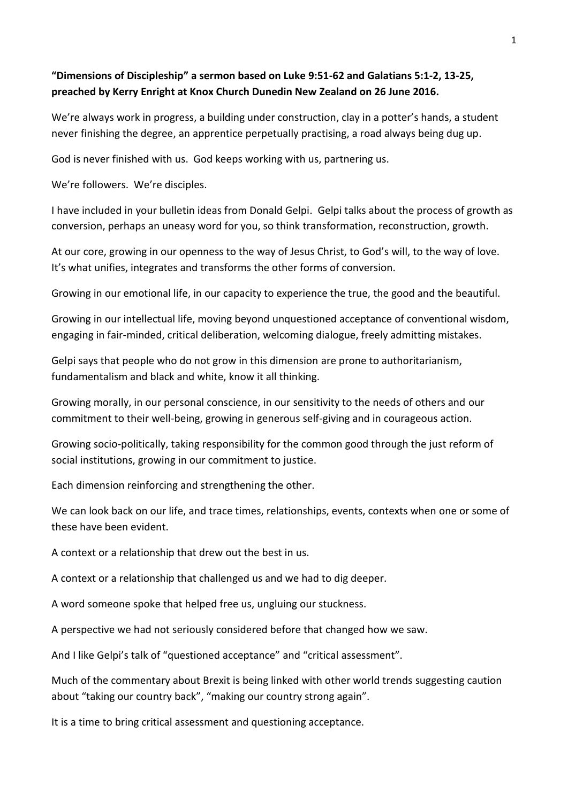#### **"Dimensions of Discipleship" a sermon based on Luke 9:51-62 and Galatians 5:1-2, 13-25, preached by Kerry Enright at Knox Church Dunedin New Zealand on 26 June 2016.**

We're always work in progress, a building under construction, clay in a potter's hands, a student never finishing the degree, an apprentice perpetually practising, a road always being dug up.

God is never finished with us. God keeps working with us, partnering us.

We're followers. We're disciples.

I have included in your bulletin ideas from Donald Gelpi. Gelpi talks about the process of growth as conversion, perhaps an uneasy word for you, so think transformation, reconstruction, growth.

At our core, growing in our openness to the way of Jesus Christ, to God's will, to the way of love. It's what unifies, integrates and transforms the other forms of conversion.

Growing in our emotional life, in our capacity to experience the true, the good and the beautiful.

Growing in our intellectual life, moving beyond unquestioned acceptance of conventional wisdom, engaging in fair-minded, critical deliberation, welcoming dialogue, freely admitting mistakes.

Gelpi says that people who do not grow in this dimension are prone to authoritarianism, fundamentalism and black and white, know it all thinking.

Growing morally, in our personal conscience, in our sensitivity to the needs of others and our commitment to their well-being, growing in generous self-giving and in courageous action.

Growing socio-politically, taking responsibility for the common good through the just reform of social institutions, growing in our commitment to justice.

Each dimension reinforcing and strengthening the other.

We can look back on our life, and trace times, relationships, events, contexts when one or some of these have been evident.

A context or a relationship that drew out the best in us.

A context or a relationship that challenged us and we had to dig deeper.

A word someone spoke that helped free us, ungluing our stuckness.

A perspective we had not seriously considered before that changed how we saw.

And I like Gelpi's talk of "questioned acceptance" and "critical assessment".

Much of the commentary about Brexit is being linked with other world trends suggesting caution about "taking our country back", "making our country strong again".

It is a time to bring critical assessment and questioning acceptance.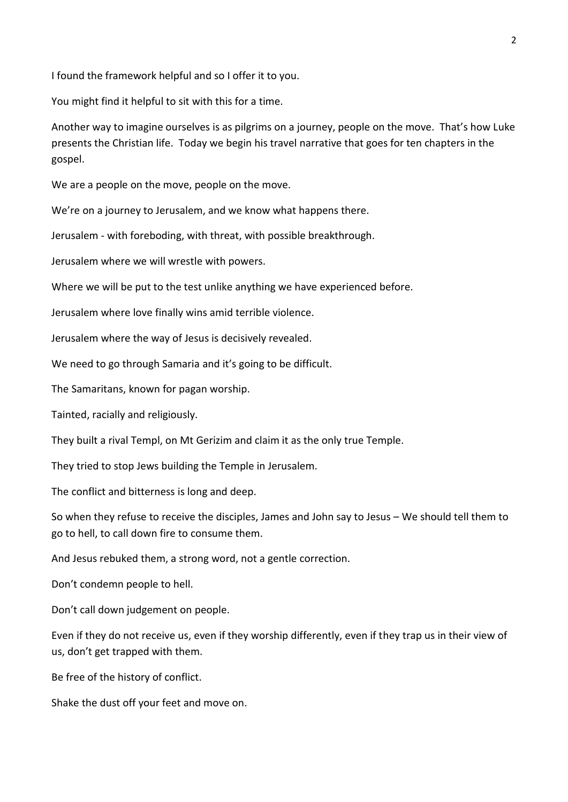I found the framework helpful and so I offer it to you.

You might find it helpful to sit with this for a time.

Another way to imagine ourselves is as pilgrims on a journey, people on the move. That's how Luke presents the Christian life. Today we begin his travel narrative that goes for ten chapters in the gospel.

We are a people on the move, people on the move.

We're on a journey to Jerusalem, and we know what happens there.

Jerusalem - with foreboding, with threat, with possible breakthrough.

Jerusalem where we will wrestle with powers.

Where we will be put to the test unlike anything we have experienced before.

Jerusalem where love finally wins amid terrible violence.

Jerusalem where the way of Jesus is decisively revealed.

We need to go through Samaria and it's going to be difficult.

The Samaritans, known for pagan worship.

Tainted, racially and religiously.

They built a rival Templ, on Mt Gerizim and claim it as the only true Temple.

They tried to stop Jews building the Temple in Jerusalem.

The conflict and bitterness is long and deep.

So when they refuse to receive the disciples, James and John say to Jesus – We should tell them to go to hell, to call down fire to consume them.

And Jesus rebuked them, a strong word, not a gentle correction.

Don't condemn people to hell.

Don't call down judgement on people.

Even if they do not receive us, even if they worship differently, even if they trap us in their view of us, don't get trapped with them.

Be free of the history of conflict.

Shake the dust off your feet and move on.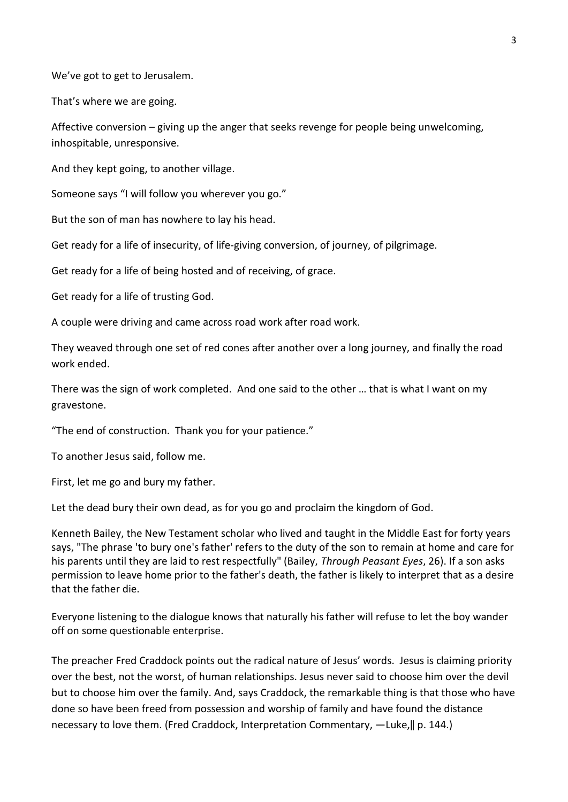We've got to get to Jerusalem.

That's where we are going.

Affective conversion – giving up the anger that seeks revenge for people being unwelcoming, inhospitable, unresponsive.

And they kept going, to another village.

Someone says "I will follow you wherever you go."

But the son of man has nowhere to lay his head.

Get ready for a life of insecurity, of life-giving conversion, of journey, of pilgrimage.

Get ready for a life of being hosted and of receiving, of grace.

Get ready for a life of trusting God.

A couple were driving and came across road work after road work.

They weaved through one set of red cones after another over a long journey, and finally the road work ended.

There was the sign of work completed. And one said to the other … that is what I want on my gravestone.

"The end of construction. Thank you for your patience."

To another Jesus said, follow me.

First, let me go and bury my father.

Let the dead bury their own dead, as for you go and proclaim the kingdom of God.

Kenneth Bailey, the New Testament scholar who lived and taught in the Middle East for forty years says, "The phrase 'to bury one's father' refers to the duty of the son to remain at home and care for his parents until they are laid to rest respectfully" (Bailey, *Through Peasant Eyes*, 26). If a son asks permission to leave home prior to the father's death, the father is likely to interpret that as a desire that the father die.

Everyone listening to the dialogue knows that naturally his father will refuse to let the boy wander off on some questionable enterprise.

The preacher Fred Craddock points out the radical nature of Jesus' words. Jesus is claiming priority over the best, not the worst, of human relationships. Jesus never said to choose him over the devil but to choose him over the family. And, says Craddock, the remarkable thing is that those who have done so have been freed from possession and worship of family and have found the distance necessary to love them. (Fred Craddock, Interpretation Commentary, -Luke, || p. 144.)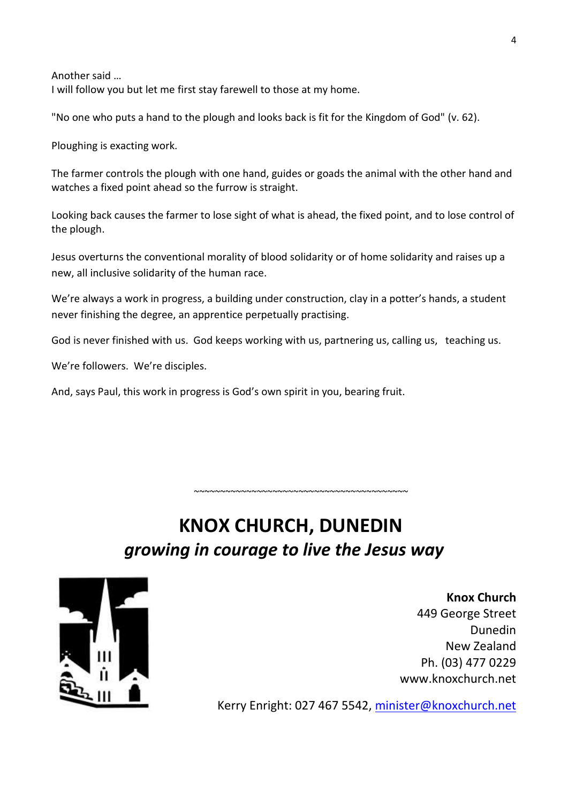Another said … I will follow you but let me first stay farewell to those at my home.

"No one who puts a hand to the plough and looks back is fit for the Kingdom of God" (v. 62).

Ploughing is exacting work.

The farmer controls the plough with one hand, guides or goads the animal with the other hand and watches a fixed point ahead so the furrow is straight.

Looking back causes the farmer to lose sight of what is ahead, the fixed point, and to lose control of the plough.

Jesus overturns the conventional morality of blood solidarity or of home solidarity and raises up a new, all inclusive solidarity of the human race.

We're always a work in progress, a building under construction, clay in a potter's hands, a student never finishing the degree, an apprentice perpetually practising.

God is never finished with us. God keeps working with us, partnering us, calling us, teaching us.

We're followers. We're disciples.

And, says Paul, this work in progress is God's own spirit in you, bearing fruit.

# **KNOX CHURCH, DUNEDIN** *growing in courage to live the Jesus way*

~~~~~~~~~~~~~~~~~~~~~~~~~~~~~~~~~~~~~~~~~



**Knox Church** 449 George Street Dunedin New Zealand Ph. (03) 477 0229 www.knoxchurch.net

Kerry Enright: 027 467 5542, [minister@knoxchurch.net](mailto:minister@knoxchurch.net)